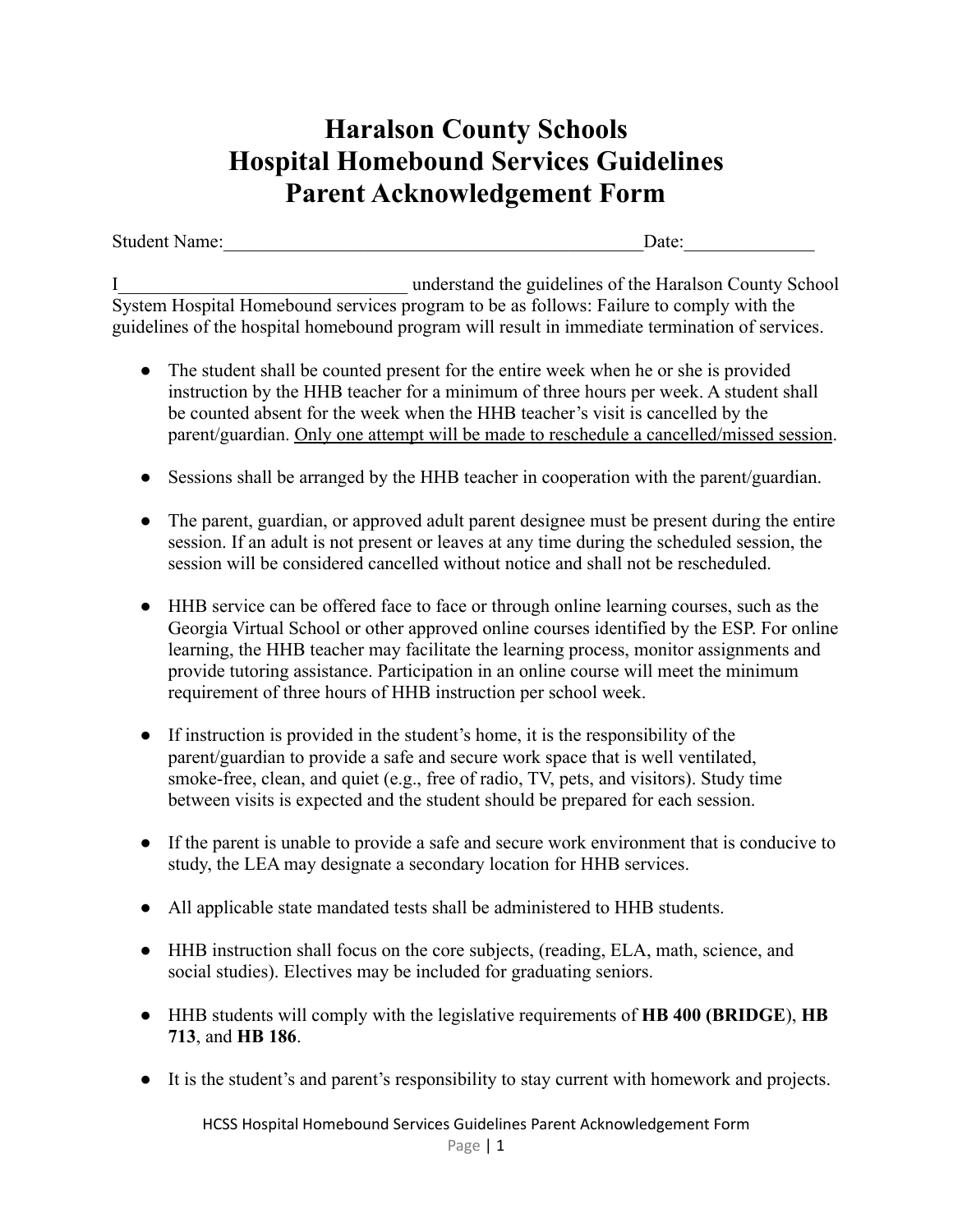## **Haralson County Schools Hospital Homebound Services Guidelines Parent Acknowledgement Form**

Student Name:\_\_\_\_\_\_\_\_\_\_\_\_\_\_\_\_\_\_\_\_\_\_\_\_\_\_\_\_\_\_\_\_\_\_\_\_\_\_\_\_\_\_\_\_\_Date:\_\_\_\_\_\_\_\_\_\_\_\_\_\_

I\_\_\_\_\_\_\_\_\_\_\_\_\_\_\_\_\_\_\_\_\_\_\_\_\_\_\_\_\_\_\_ understand the guidelines of the Haralson County School System Hospital Homebound services program to be as follows: Failure to comply with the guidelines of the hospital homebound program will result in immediate termination of services.

- **●** The student shall be counted present for the entire week when he or she is provided instruction by the HHB teacher for a minimum of three hours per week. A student shall be counted absent for the week when the HHB teacher's visit is cancelled by the parent/guardian. Only one attempt will be made to reschedule a cancelled/missed session.
- Sessions shall be arranged by the HHB teacher in cooperation with the parent/guardian.
- The parent, guardian, or approved adult parent designee must be present during the entire session. If an adult is not present or leaves at any time during the scheduled session, the session will be considered cancelled without notice and shall not be rescheduled.
- HHB service can be offered face to face or through online learning courses, such as the Georgia Virtual School or other approved online courses identified by the ESP. For online learning, the HHB teacher may facilitate the learning process, monitor assignments and provide tutoring assistance. Participation in an online course will meet the minimum requirement of three hours of HHB instruction per school week.
- If instruction is provided in the student's home, it is the responsibility of the parent/guardian to provide a safe and secure work space that is well ventilated, smoke-free, clean, and quiet (e.g., free of radio, TV, pets, and visitors). Study time between visits is expected and the student should be prepared for each session.
- If the parent is unable to provide a safe and secure work environment that is conducive to study, the LEA may designate a secondary location for HHB services.
- All applicable state mandated tests shall be administered to HHB students.
- HHB instruction shall focus on the core subjects, (reading, ELA, math, science, and social studies). Electives may be included for graduating seniors.
- HHB students will comply with the legislative requirements of **HB 400 (BRIDGE**), **HB 713**, and **HB 186**.
- It is the student's and parent's responsibility to stay current with homework and projects.

HCSS Hospital Homebound Services Guidelines Parent Acknowledgement Form